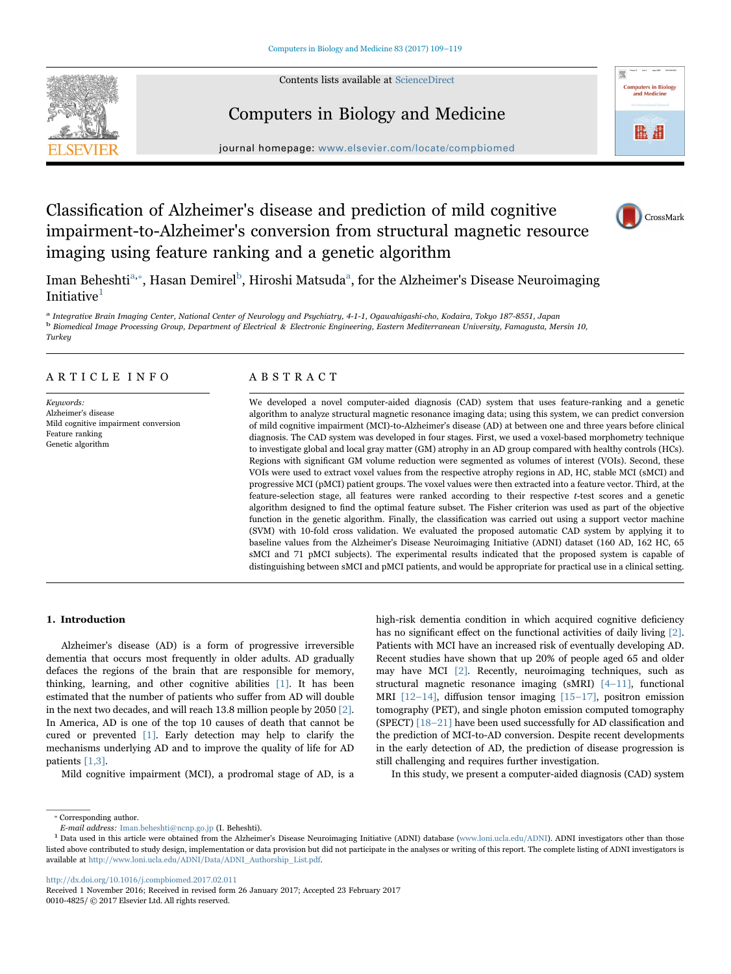Contents lists available at [ScienceDirect](http://www.sciencedirect.com/science/journal/00104825)





# Computers in Biology and Medicine

journal homepage: [www.elsevier.com/locate/compbiomed](http://www.elsevier.com/locate/compbiomed)

# Classification of Alzheimer's disease and prediction of mild cognitive impairment-to-Alzheimer's conversion from structural magnetic resource imaging using feature ranking and a genetic algorithm



Iman Beheshti<sup>[a,](#page-0-0)</sup>\*[, Hasan Demirel](#page-0-1)<sup>b</sup>, Hiroshi Matsuda<sup>a</sup>[, for the Alzheimer's Disease Neuroimaging](#page-0-0) Initiative<sup>[1](#page-0-3)</sup>

<span id="page-0-2"></span><span id="page-0-0"></span><sup>a</sup> Integrative Brain Imaging Center, National Center of Neurology and Psychiatry, 4-1-1, Ogawahigashi-cho, Kodaira, Tokyo 187-8551, Japan <sup>b</sup> Biomedical Image Processing Group, Department of Electrical & Electronic Engineering, Eastern Mediterranean University, Famagusta, Mersin 10, **Turkey** 

# ARTICLE INFO

Keywords: Alzheimer's disease Mild cognitive impairment conversion Feature ranking Genetic algorithm

# ABSTRACT

We developed a novel computer-aided diagnosis (CAD) system that uses feature-ranking and a genetic algorithm to analyze structural magnetic resonance imaging data; using this system, we can predict conversion of mild cognitive impairment (MCI)-to-Alzheimer's disease (AD) at between one and three years before clinical diagnosis. The CAD system was developed in four stages. First, we used a voxel-based morphometry technique to investigate global and local gray matter (GM) atrophy in an AD group compared with healthy controls (HCs). Regions with significant GM volume reduction were segmented as volumes of interest (VOIs). Second, these VOIs were used to extract voxel values from the respective atrophy regions in AD, HC, stable MCI (sMCI) and progressive MCI (pMCI) patient groups. The voxel values were then extracted into a feature vector. Third, at the feature-selection stage, all features were ranked according to their respective t-test scores and a genetic algorithm designed to find the optimal feature subset. The Fisher criterion was used as part of the objective function in the genetic algorithm. Finally, the classification was carried out using a support vector machine (SVM) with 10-fold cross validation. We evaluated the proposed automatic CAD system by applying it to baseline values from the Alzheimer's Disease Neuroimaging Initiative (ADNI) dataset (160 AD, 162 HC, 65 sMCI and 71 pMCI subjects). The experimental results indicated that the proposed system is capable of distinguishing between sMCI and pMCI patients, and would be appropriate for practical use in a clinical setting.

# 1. Introduction

Alzheimer's disease (AD) is a form of progressive irreversible dementia that occurs most frequently in older adults. AD gradually defaces the regions of the brain that are responsible for memory, thinking, learning, and other cognitive abilities [\[1\].](#page-8-0) It has been estimated that the number of patients who suffer from AD will double in the next two decades, and will reach 13.8 million people by 2050 [\[2\].](#page-8-1) In America, AD is one of the top 10 causes of death that cannot be cured or prevented [\[1\].](#page-8-0) Early detection may help to clarify the mechanisms underlying AD and to improve the quality of life for AD patients [\[1,3\].](#page-8-0)

Mild cognitive impairment (MCI), a prodromal stage of AD, is a

high-risk dementia condition in which acquired cognitive deficiency has no significant effect on the functional activities of daily living [\[2\]](#page-8-1). Patients with MCI have an increased risk of eventually developing AD. Recent studies have shown that up 20% of people aged 65 and older may have MCI [\[2\]](#page-8-1). Recently, neuroimaging techniques, such as structural magnetic resonance imaging (sMRI) [4–[11\]](#page-9-0), functional MRI [12–[14\],](#page-9-1) diffusion tensor imaging [15–[17\]](#page-9-2), positron emission tomography (PET), and single photon emission computed tomography (SPECT) [\[18](#page-9-3)–21] have been used successfully for AD classification and the prediction of MCI-to-AD conversion. Despite recent developments in the early detection of AD, the prediction of disease progression is still challenging and requires further investigation.

In this study, we present a computer-aided diagnosis (CAD) system

<span id="page-0-1"></span>⁎ Corresponding author.

<http://dx.doi.org/10.1016/j.compbiomed.2017.02.011>

E-mail address: Iman.beheshti@ncnp.go.jp (I. Beheshti).

<span id="page-0-3"></span><sup>&</sup>lt;sup>1</sup> Data used in this article were obtained from the Alzheimer's Disease Neuroimaging Initiative (ADNI) database (www.loni.ucla.edu/ADNI). ADNI investigators other than those listed above contributed to study design, implementation or data provision but did not participate in the analyses or writing of this report. The complete listing of ADNI investigators is available at http://www.loni.ucla.edu/ADNI/Data/ADNI\_Authorship\_List.pdf.

Received 1 November 2016; Received in revised form 26 January 2017; Accepted 23 February 2017 0010-4825/ © 2017 Elsevier Ltd. All rights reserved.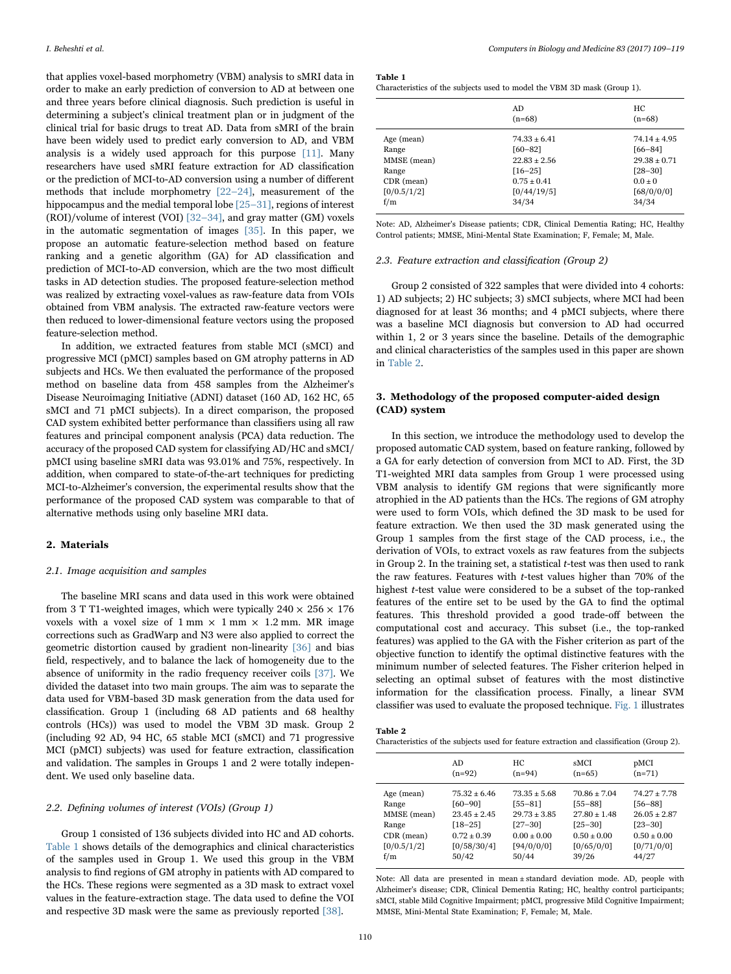that applies voxel-based morphometry (VBM) analysis to sMRI data in order to make an early prediction of conversion to AD at between one and three years before clinical diagnosis. Such prediction is useful in determining a subject's clinical treatment plan or in judgment of the clinical trial for basic drugs to treat AD. Data from sMRI of the brain have been widely used to predict early conversion to AD, and VBM analysis is a widely used approach for this purpose [\[11\]](#page-9-4). Many researchers have used sMRI feature extraction for AD classification or the prediction of MCI-to-AD conversion using a number of different methods that include morphometry [22–[24\],](#page-9-5) measurement of the hippocampus and the medial temporal lobe [\[25](#page-9-6)–31], regions of interest (ROI)/volume of interest (VOI) [32–[34\]](#page-9-7), and gray matter (GM) voxels in the automatic segmentation of images [\[35\]](#page-9-8). In this paper, we propose an automatic feature-selection method based on feature ranking and a genetic algorithm (GA) for AD classification and prediction of MCI-to-AD conversion, which are the two most difficult tasks in AD detection studies. The proposed feature-selection method was realized by extracting voxel-values as raw-feature data from VOIs obtained from VBM analysis. The extracted raw-feature vectors were then reduced to lower-dimensional feature vectors using the proposed feature-selection method.

In addition, we extracted features from stable MCI (sMCI) and progressive MCI (pMCI) samples based on GM atrophy patterns in AD subjects and HCs. We then evaluated the performance of the proposed method on baseline data from 458 samples from the Alzheimer's Disease Neuroimaging Initiative (ADNI) dataset (160 AD, 162 HC, 65 sMCI and 71 pMCI subjects). In a direct comparison, the proposed CAD system exhibited better performance than classifiers using all raw features and principal component analysis (PCA) data reduction. The accuracy of the proposed CAD system for classifying AD/HC and sMCI/ pMCI using baseline sMRI data was 93.01% and 75%, respectively. In addition, when compared to state-of-the-art techniques for predicting MCI-to-Alzheimer's conversion, the experimental results show that the performance of the proposed CAD system was comparable to that of alternative methods using only baseline MRI data.

## 2. Materials

## 2.1. Image acquisition and samples

The baseline MRI scans and data used in this work were obtained from 3 T T1-weighted images, which were typically  $240 \times 256 \times 176$ voxels with a voxel size of  $1 \text{ mm} \times 1 \text{ mm} \times 1.2 \text{ mm}$ . MR image corrections such as GradWarp and N3 were also applied to correct the geometric distortion caused by gradient non-linearity [\[36\]](#page-9-9) and bias field, respectively, and to balance the lack of homogeneity due to the absence of uniformity in the radio frequency receiver coils [\[37\].](#page-9-10) We divided the dataset into two main groups. The aim was to separate the data used for VBM-based 3D mask generation from the data used for classification. Group 1 (including 68 AD patients and 68 healthy controls (HCs)) was used to model the VBM 3D mask. Group 2 (including 92 AD, 94 HC, 65 stable MCI (sMCI) and 71 progressive MCI (pMCI) subjects) was used for feature extraction, classification and validation. The samples in Groups 1 and 2 were totally independent. We used only baseline data.

# 2.2. Defining volumes of interest (VOIs) (Group 1)

Group 1 consisted of 136 subjects divided into HC and AD cohorts. [Table 1](#page-1-0) shows details of the demographics and clinical characteristics of the samples used in Group 1. We used this group in the VBM analysis to find regions of GM atrophy in patients with AD compared to the HCs. These regions were segmented as a 3D mask to extract voxel values in the feature-extraction stage. The data used to define the VOI and respective 3D mask were the same as previously reported [\[38\].](#page-9-11)

<span id="page-1-0"></span>

| Characteristics of the subjects used to model the VBM 3D mask (Group 1). |  |  |  |
|--------------------------------------------------------------------------|--|--|--|
|--------------------------------------------------------------------------|--|--|--|

|              | AD<br>$(n=68)$  | HС<br>$(n=68)$ |
|--------------|-----------------|----------------|
| Age (mean)   | $74.33 + 6.41$  | $74.14 + 4.95$ |
| Range        | $[60 - 82]$     | $[66 - 84]$    |
| MMSE (mean)  | $22.83 + 2.56$  | $29.38 + 0.71$ |
| Range        | $[16 - 25]$     | $[28 - 30]$    |
| $CDR$ (mean) | $0.75 \pm 0.41$ | $0.0 \pm 0$    |
| [0/0.5/1/2]  | [0/44/19/5]     | [68/0/0/0]     |
| f/m          | 34/34           | 34/34          |

Note: AD, Alzheimer's Disease patients; CDR, Clinical Dementia Rating; HC, Healthy Control patients; MMSE, Mini-Mental State Examination; F, Female; M, Male.

### 2.3. Feature extraction and classification (Group 2)

Group 2 consisted of 322 samples that were divided into 4 cohorts: 1) AD subjects; 2) HC subjects; 3) sMCI subjects, where MCI had been diagnosed for at least 36 months; and 4 pMCI subjects, where there was a baseline MCI diagnosis but conversion to AD had occurred within 1, 2 or 3 years since the baseline. Details of the demographic and clinical characteristics of the samples used in this paper are shown in [Table 2.](#page-1-1)

# 3. Methodology of the proposed computer-aided design (CAD) system

In this section, we introduce the methodology used to develop the proposed automatic CAD system, based on feature ranking, followed by a GA for early detection of conversion from MCI to AD. First, the 3D T1-weighted MRI data samples from Group 1 were processed using VBM analysis to identify GM regions that were significantly more atrophied in the AD patients than the HCs. The regions of GM atrophy were used to form VOIs, which defined the 3D mask to be used for feature extraction. We then used the 3D mask generated using the Group 1 samples from the first stage of the CAD process, i.e., the derivation of VOIs, to extract voxels as raw features from the subjects in Group 2. In the training set, a statistical t-test was then used to rank the raw features. Features with t-test values higher than 70% of the highest t-test value were considered to be a subset of the top-ranked features of the entire set to be used by the GA to find the optimal features. This threshold provided a good trade-off between the computational cost and accuracy. This subset (i.e., the top-ranked features) was applied to the GA with the Fisher criterion as part of the objective function to identify the optimal distinctive features with the minimum number of selected features. The Fisher criterion helped in selecting an optimal subset of features with the most distinctive information for the classification process. Finally, a linear SVM classifier was used to evaluate the proposed technique. [Fig. 1](#page-2-0) illustrates

<span id="page-1-1"></span>

Characteristics of the subjects used for feature extraction and classification (Group 2).

|              | AD.            | HС              | sMCI             | pMCI            |
|--------------|----------------|-----------------|------------------|-----------------|
|              | $(n=92)$       | $(n=94)$        | $(n=65)$         | $(n=71)$        |
| Age (mean)   | $75.32 + 6.46$ | $73.35 + 5.68$  | $70.86 + 7.04$   | $74.27 + 7.78$  |
| Range        | $[60 - 90]$    | $[55 - 81]$     | $[55 - 88]$      | $[56 - 88]$     |
| MMSE (mean)  | $23.45 + 2.45$ | $29.73 + 3.85$  | $27.80 \pm 1.48$ | $26.05 + 2.87$  |
| Range        | $[18 - 25]$    | $[27 - 30]$     | $[25 - 30]$      | $[23 - 30]$     |
| $CDR$ (mean) | $0.72 + 0.39$  | $0.00 \pm 0.00$ | $0.50 \pm 0.00$  | $0.50 \pm 0.00$ |
| [0/0.5/1/2]  | [0/58/30/4]    | [94/0/0/0]      | [0/65/0/0]       | [0/71/0/0]      |
| f/m          | 50/42          | 50/44           | 39/26            | 44/27           |

Note: All data are presented in mean ± standard deviation mode. AD, people with Alzheimer's disease; CDR, Clinical Dementia Rating; HC, healthy control participants; sMCI, stable Mild Cognitive Impairment; pMCI, progressive Mild Cognitive Impairment; MMSE, Mini-Mental State Examination; F, Female; M, Male.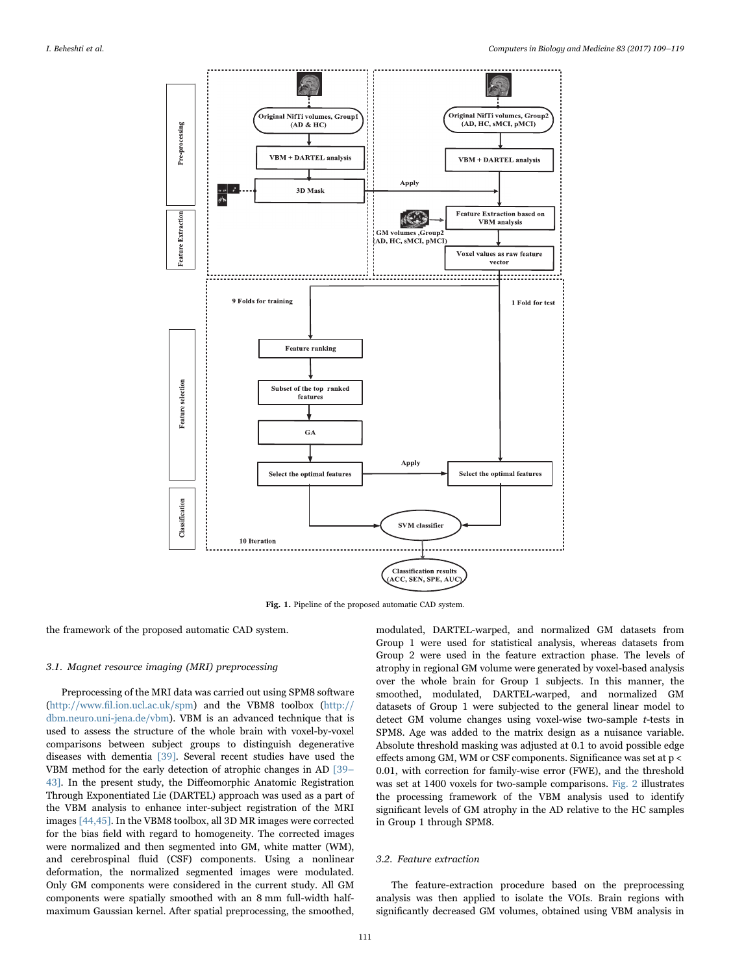<span id="page-2-0"></span>

Fig. 1. Pipeline of the proposed automatic CAD system.

the framework of the proposed automatic CAD system.

### 3.1. Magnet resource imaging (MRI) preprocessing

Preprocessing of the MRI data was carried out using SPM8 software (http://www.fi[l.ion.ucl.ac.uk/spm\)](http://www.fil.ion.ucl.ac.uk/spm) and the VBM8 toolbox [\(http://](http://dbm.neuro.uni-jena.de/vbm) [dbm.neuro.uni-jena.de/vbm\)](http://dbm.neuro.uni-jena.de/vbm). VBM is an advanced technique that is used to assess the structure of the whole brain with voxel-by-voxel comparisons between subject groups to distinguish degenerative diseases with dementia [\[39\]](#page-9-12). Several recent studies have used the VBM method for the early detection of atrophic changes in AD [\[39](#page-9-12)– [43\].](#page-9-12) In the present study, the Diffeomorphic Anatomic Registration Through Exponentiated Lie (DARTEL) approach was used as a part of the VBM analysis to enhance inter-subject registration of the MRI images [\[44,45\]](#page-9-13). In the VBM8 toolbox, all 3D MR images were corrected for the bias field with regard to homogeneity. The corrected images were normalized and then segmented into GM, white matter (WM), and cerebrospinal fluid (CSF) components. Using a nonlinear deformation, the normalized segmented images were modulated. Only GM components were considered in the current study. All GM components were spatially smoothed with an 8 mm full-width halfmaximum Gaussian kernel. After spatial preprocessing, the smoothed,

modulated, DARTEL-warped, and normalized GM datasets from Group 1 were used for statistical analysis, whereas datasets from Group 2 were used in the feature extraction phase. The levels of atrophy in regional GM volume were generated by voxel-based analysis over the whole brain for Group 1 subjects. In this manner, the smoothed, modulated, DARTEL-warped, and normalized GM datasets of Group 1 were subjected to the general linear model to detect GM volume changes using voxel-wise two-sample t-tests in SPM8. Age was added to the matrix design as a nuisance variable. Absolute threshold masking was adjusted at 0.1 to avoid possible edge effects among GM, WM or CSF components. Significance was set at p < 0.01, with correction for family-wise error (FWE), and the threshold was set at 1400 voxels for two-sample comparisons. [Fig. 2](#page-3-0) illustrates the processing framework of the VBM analysis used to identify significant levels of GM atrophy in the AD relative to the HC samples in Group 1 through SPM8.

#### <span id="page-2-1"></span>3.2. Feature extraction

The feature-extraction procedure based on the preprocessing analysis was then applied to isolate the VOIs. Brain regions with significantly decreased GM volumes, obtained using VBM analysis in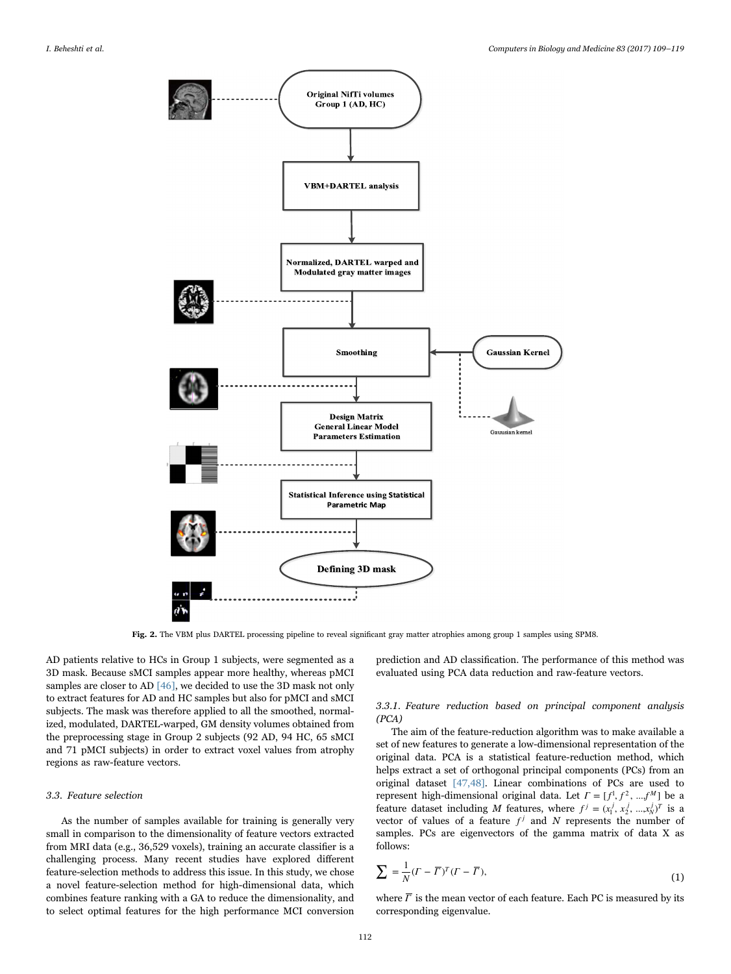<span id="page-3-0"></span>

Fig. 2. The VBM plus DARTEL processing pipeline to reveal significant gray matter atrophies among group 1 samples using SPM8.

AD patients relative to HCs in Group 1 subjects, were segmented as a 3D mask. Because sMCI samples appear more healthy, whereas pMCI samples are closer to AD [\[46\],](#page-10-0) we decided to use the 3D mask not only to extract features for AD and HC samples but also for pMCI and sMCI subjects. The mask was therefore applied to all the smoothed, normalized, modulated, DARTEL-warped, GM density volumes obtained from the preprocessing stage in Group 2 subjects (92 AD, 94 HC, 65 sMCI and 71 pMCI subjects) in order to extract voxel values from atrophy regions as raw-feature vectors.

## <span id="page-3-1"></span>3.3. Feature selection

As the number of samples available for training is generally very small in comparison to the dimensionality of feature vectors extracted from MRI data (e.g., 36,529 voxels), training an accurate classifier is a challenging process. Many recent studies have explored different feature-selection methods to address this issue. In this study, we chose a novel feature-selection method for high-dimensional data, which combines feature ranking with a GA to reduce the dimensionality, and to select optimal features for the high performance MCI conversion prediction and AD classification. The performance of this method was evaluated using PCA data reduction and raw-feature vectors.

# 3.3.1. Feature reduction based on principal component analysis (PCA)

The aim of the feature-reduction algorithm was to make available a set of new features to generate a low-dimensional representation of the original data. PCA is a statistical feature-reduction method, which helps extract a set of orthogonal principal components (PCs) from an original dataset [\[47,48\]](#page-10-1). Linear combinations of PCs are used to represent high-dimensional original data. Let  $\Gamma = [f^1, f^2, ..., f^M]$  be a feature dataset including M features, where  $f^j = (x_1^j, x_2^j, ..., x_N^j)^T$  is a vector of values of a feature  $f^j$  and N represents the number of samples. PCs are eigenvectors of the gamma matrix of data X as follows:

$$
\sum = \frac{1}{N} (F - \overline{\Gamma})^T (F - \overline{\Gamma}), \tag{1}
$$

where  $\overline{\Gamma}$  is the mean vector of each feature. Each PC is measured by its corresponding eigenvalue.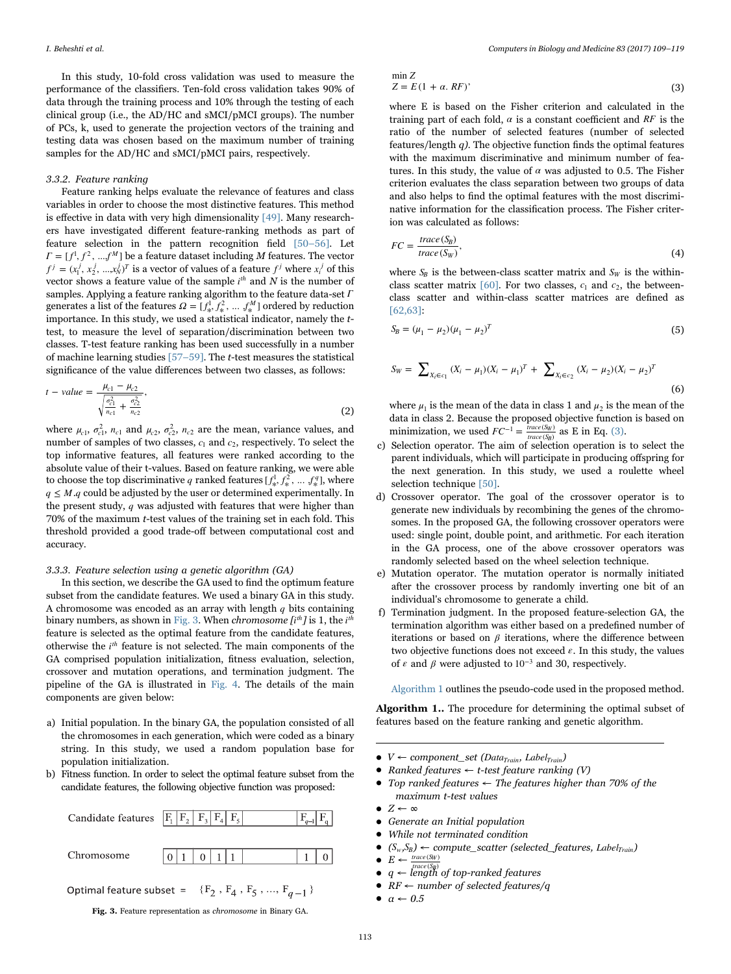In this study, 10-fold cross validation was used to measure the performance of the classifiers. Ten-fold cross validation takes 90% of data through the training process and 10% through the testing of each clinical group (i.e., the AD/HC and sMCI/pMCI groups). The number of PCs, k, used to generate the projection vectors of the training and testing data was chosen based on the maximum number of training samples for the AD/HC and sMCI/pMCI pairs, respectively.

## 3.3.2. Feature ranking

Feature ranking helps evaluate the relevance of features and class variables in order to choose the most distinctive features. This method is effective in data with very high dimensionality [\[49\].](#page-10-2) Many researchers have investigated different feature-ranking methods as part of feature selection in the pattern recognition field [\[50](#page-10-3)–56]. Let  $\Gamma = [f^1, f^2, \dots, f^M]$  be a feature dataset including *M* features. The vector  $f^j = (x_1^j, x_2^j, ..., x_N^j)^T$  is a vector of values of a feature  $f^j$  where  $x_i^j$  of this vector shows a feature value of the sample *i*<sup>th</sup> and N is the number of samples. Applying a feature ranking algorithm to the feature data-set *Γ* generates a list of the features  $\Omega = [f^1, f^2, ..., f^M]$  ordered by reduction<br>interactions. In this study can used a statistical in the transposed when the t importance. In this study, we used a statistical indicator, namely the ttest, to measure the level of separation/discrimination between two classes. T-test feature ranking has been used successfully in a number of machine learning studies  $[57-59]$ . The *t*-test measures the statistical significance of the value differences between two classes, as follows:

$$
t - value = \frac{\mu_{c1} - \mu_{c2}}{\sqrt{\frac{\sigma_{c1}^2}{n_{c1}} + \frac{\sigma_{c2}^2}{n_{c2}}}},
$$
\n(2)

where  $\mu_{c1}$ ,  $\sigma_{c1}^2$ ,  $n_{c1}$  and  $\mu_{c2}$ ,  $\sigma_{c2}^2$ ,  $n_{c2}$  are the mean, variance values, and number of samples of two classes,  $c_1$  and  $c_2$ , respectively. To select the top informative features, all features were ranked according to the absolute value of their t-values. Based on feature ranking, we were able to choose the top discriminative *q* ranked features  $[f^1_k, f^2_k, ..., f^q_k]$ , where  $q \leq M$  q could be adjusted by the user or determined experimentally. In the present study, *q* was adjusted with features that were higher than 70% of the maximum t-test values of the training set in each fold. This threshold provided a good trade-off between computational cost and accuracy.

# 3.3.3. Feature selection using a genetic algorithm (GA)

In this section, we describe the GA used to find the optimum feature subset from the candidate features. We used a binary GA in this study. A chromosome was encoded as an array with length *q* bits containing binary numbers, as shown in [Fig. 3.](#page-4-0) When *chromosome* [*i*<sup>th</sup>] is 1, the *i*<sup>th</sup> feature is selected as the optimal feature from the candidate features, otherwise the *i th* feature is not selected. The main components of the GA comprised population initialization, fitness evaluation, selection, crossover and mutation operations, and termination judgment. The pipeline of the GA is illustrated in [Fig. 4.](#page-5-0) The details of the main components are given below:

- a) Initial population. In the binary GA, the population consisted of all the chromosomes in each generation, which were coded as a binary string. In this study, we used a random population base for population initialization.
- <span id="page-4-1"></span>b) Fitness function. In order to select the optimal feature subset from the candidate features, the following objective function was proposed:

<span id="page-4-0"></span>

$$
\min Z
$$
  
Z = E(1 + \alpha. RF)′ (3)

where E is based on the Fisher criterion and calculated in the training part of each fold,  $\alpha$  is a constant coefficient and  $RF$  is the ratio of the number of selected features (number of selected features/length  $q$ ). The objective function finds the optimal features with the maximum discriminative and minimum number of features. In this study, the value of  $\alpha$  was adjusted to 0.5. The Fisher criterion evaluates the class separation between two groups of data and also helps to find the optimal features with the most discriminative information for the classification process. The Fisher criterion was calculated as follows:

$$
FC = \frac{trace(S_B)}{trace(S_W)},
$$
\n(4)

where  $S_B$  is the between-class scatter matrix and  $S_W$  is the withinclass scatter matrix  $[60]$ . For two classes,  $c_1$  and  $c_2$ , the betweenclass scatter and within-class scatter matrices are defined as [\[62,63\]:](#page-10-6)

$$
S_B = (\mu_1 - \mu_2)(\mu_1 - \mu_2)^T
$$
\n(5)

$$
S_W = \sum_{X_i \in c_1} (X_i - \mu_1)(X_i - \mu_1)^T + \sum_{X_i \in c_2} (X_i - \mu_2)(X_i - \mu_2)^T
$$
\n(6)

where  $\mu_1$  is the mean of the data in class 1 and  $\mu_2$  is the mean of the data in class 2. Because the proposed objective function is based on minimization, we used  $FC^{-1} = \frac{trace(S_W)}{trace(S_B)}$  as E in Eq. [\(3\).](#page-4-1)

- c) Selection operator. The aim of selection operation is to select the parent individuals, which will participate in producing offspring for the next generation. In this study, we used a roulette wheel selection technique [\[50\]](#page-10-3).
- d) Crossover operator. The goal of the crossover operator is to generate new individuals by recombining the genes of the chromosomes. In the proposed GA, the following crossover operators were used: single point, double point, and arithmetic. For each iteration in the GA process, one of the above crossover operators was randomly selected based on the wheel selection technique.
- e) Mutation operator. The mutation operator is normally initiated after the crossover process by randomly inverting one bit of an individual's chromosome to generate a child.
- f) Termination judgment. In the proposed feature-selection GA, the termination algorithm was either based on a predefined number of iterations or based on *β* iterations, where the difference between two objective functions does not exceed  $\varepsilon$ . In this study, the values of  $\varepsilon$  and  $\beta$  were adjusted to 10<sup>-3</sup> and 30, respectively.

Algorithm 1 outlines the pseudo-code used in the proposed method.

Algorithm 1.. The procedure for determining the optimal subset of features based on the feature ranking and genetic algorithm.

- $V \leftarrow \text{component\_set (Data_{Train}, Label_{Train})}$
- Ranked features  $\leftarrow$  t-test feature ranking (V)
- Top ranked features  $\leftarrow$  The features higher than 70% of the maximum t-test values
- $Z \leftarrow \infty$
- Generate an Initial population
- While not terminated condition
- $(S_w, S_B) \leftarrow compute\_scatter$  (selected\_features, Label<sub>Train</sub>)
- $\bullet$   $E \leftarrow \frac{trace(S_W)}{trace(S_B)}$
- $q \leftarrow$  *trace* (S<sub>B</sub>)</sup> of top-ranked features
- $RF \leftarrow$  number of selected features/q
- $\alpha \leftarrow 0.5$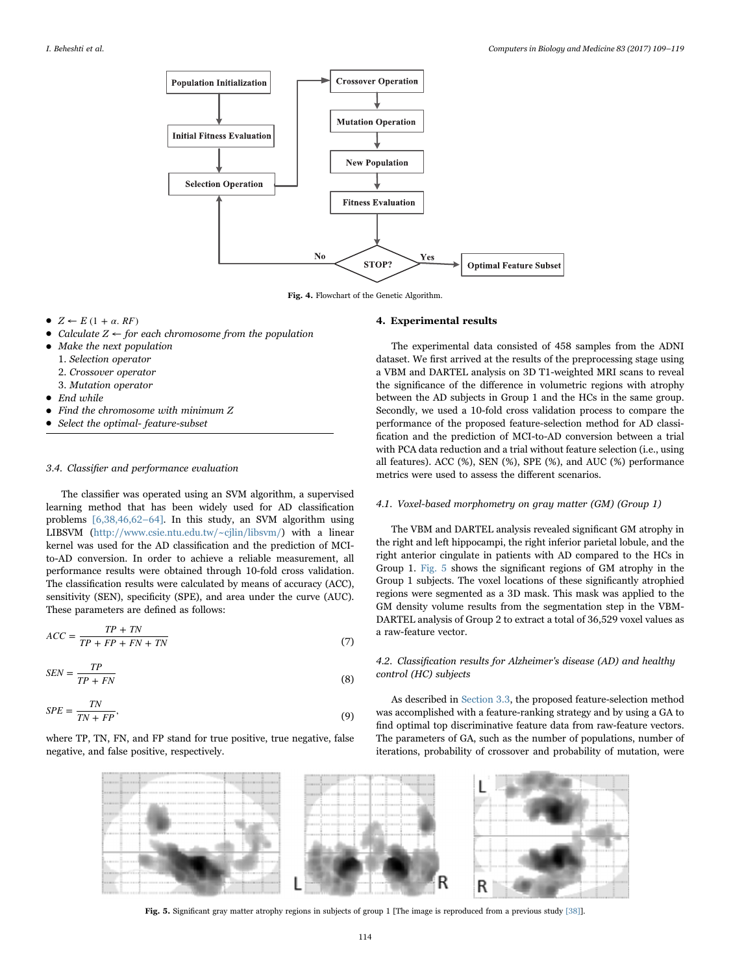<span id="page-5-0"></span>

Fig. 4. Flowchart of the Genetic Algorithm.

- $Z \leftarrow E (1 + \alpha, RF)$
- Calculate  $Z \leftarrow$  for each chromosome from the population<br>• Make the next population
- Make the next population 1. Selection operator
	- 2. Crossover operator
	- 3. Mutation operator
- End while
- Find the chromosome with minimum Z
- Select the optimal- feature-subset

# 3.4. Classifier and performance evaluation

The classifier was operated using an SVM algorithm, a supervised learning method that has been widely used for AD classification problems [\[6,38,46,62](#page-9-14)–64]. In this study, an SVM algorithm using LIBSVM [\(http://www.csie.ntu.edu.tw/~cjlin/libsvm/](http://www.csie.ntu.edu.tw/~cjlin/libsvm/)) with a linear kernel was used for the AD classification and the prediction of MCIto-AD conversion. In order to achieve a reliable measurement, all performance results were obtained through 10-fold cross validation. The classification results were calculated by means of accuracy (ACC), sensitivity (SEN), specificity (SPE), and area under the curve (AUC). These parameters are defined as follows:

$$
ACC = \frac{TP + TN}{TP + FP + FN + TN}
$$
\n<sup>(7)</sup>

$$
SEN = \frac{TP}{TP + FN}
$$
\n<sup>(8)</sup>

$$
SPE = \frac{TN}{TN + FP},\tag{9}
$$

<span id="page-5-1"></span>where TP, TN, FN, and FP stand for true positive, true negative, false negative, and false positive, respectively.

#### 4. Experimental results

The experimental data consisted of 458 samples from the ADNI dataset. We first arrived at the results of the preprocessing stage using a VBM and DARTEL analysis on 3D T1-weighted MRI scans to reveal the significance of the difference in volumetric regions with atrophy between the AD subjects in Group 1 and the HCs in the same group. Secondly, we used a 10-fold cross validation process to compare the performance of the proposed feature-selection method for AD classification and the prediction of MCI-to-AD conversion between a trial with PCA data reduction and a trial without feature selection (i.e., using all features). ACC (%), SEN (%), SPE (%), and AUC (%) performance metrics were used to assess the different scenarios.

## 4.1. Voxel-based morphometry on gray matter (GM) (Group 1)

The VBM and DARTEL analysis revealed significant GM atrophy in the right and left hippocampi, the right inferior parietal lobule, and the right anterior cingulate in patients with AD compared to the HCs in Group 1. [Fig. 5](#page-5-1) shows the significant regions of GM atrophy in the Group 1 subjects. The voxel locations of these significantly atrophied regions were segmented as a 3D mask. This mask was applied to the GM density volume results from the segmentation step in the VBM-DARTEL analysis of Group 2 to extract a total of 36,529 voxel values as a raw-feature vector.

# 4.2. Classification results for Alzheimer's disease (AD) and healthy control (HC) subjects

As described in [Section 3.3,](#page-3-1) the proposed feature-selection method was accomplished with a feature-ranking strategy and by using a GA to find optimal top discriminative feature data from raw-feature vectors. The parameters of GA, such as the number of populations, number of iterations, probability of crossover and probability of mutation, were



Fig. 5. Significant gray matter atrophy regions in subjects of group 1 [The image is reproduced from a previous study [\[38\]\]](#page-9-11).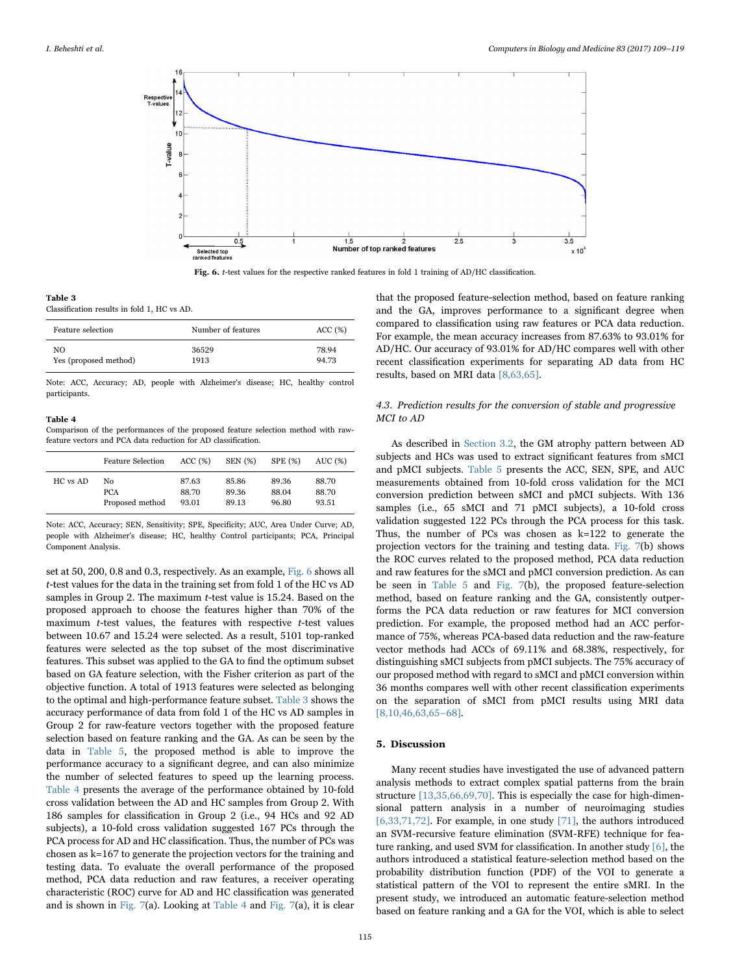<span id="page-6-0"></span>

Fig. 6. *t*-test values for the respective ranked features in fold 1 training of AD/HC classification.

#### <span id="page-6-1"></span>Table 3

Classification results in fold 1, HC vs AD.

| Feature selection     | Number of features | ACC(%) |
|-----------------------|--------------------|--------|
| NO.                   | 36529              | 78.94  |
| Yes (proposed method) | 1913               | 94.73  |

Note: ACC, Accuracy; AD, people with Alzheimer's disease; HC, healthy control participants.

#### <span id="page-6-2"></span>Table 4

Comparison of the performances of the proposed feature selection method with rawfeature vectors and PCA data reduction for AD classification.

|          | <b>Feature Selection</b> | ACC(%) | <b>SEN</b> (%) | <b>SPE</b> (%) | AUC(%) |
|----------|--------------------------|--------|----------------|----------------|--------|
| HC vs AD | No.                      | 87.63  | 85.86          | 89.36          | 88.70  |
|          | <b>PCA</b>               | 88.70  | 89.36          | 88.04          | 88.70  |
|          | Proposed method          | 93.01  | 89.13          | 96.80          | 93.51  |

Note: ACC, Accuracy; SEN, Sensitivity; SPE, Specificity; AUC, Area Under Curve; AD, people with Alzheimer's disease; HC, healthy Control participants; PCA, Principal Component Analysis.

set at 50, 200, 0.8 and 0.3, respectively. As an example, [Fig. 6](#page-6-0) shows all t-test values for the data in the training set from fold 1 of the HC vs AD samples in Group 2. The maximum t-test value is 15.24. Based on the proposed approach to choose the features higher than 70% of the maximum  $t$ -test values, the features with respective  $t$ -test values between 10.67 and 15.24 were selected. As a result, 5101 top-ranked features were selected as the top subset of the most discriminative features. This subset was applied to the GA to find the optimum subset based on GA feature selection, with the Fisher criterion as part of the objective function. A total of 1913 features were selected as belonging to the optimal and high-performance feature subset. [Table 3](#page-6-1) shows the accuracy performance of data from fold 1 of the HC vs AD samples in Group 2 for raw-feature vectors together with the proposed feature selection based on feature ranking and the GA. As can be seen by the data in [Table 5](#page-7-0), the proposed method is able to improve the performance accuracy to a significant degree, and can also minimize the number of selected features to speed up the learning process. [Table 4](#page-6-2) presents the average of the performance obtained by 10-fold cross validation between the AD and HC samples from Group 2. With 186 samples for classification in Group 2 (i.e., 94 HCs and 92 AD subjects), a 10-fold cross validation suggested 167 PCs through the PCA process for AD and HC classification. Thus, the number of PCs was chosen as k=167 to generate the projection vectors for the training and testing data. To evaluate the overall performance of the proposed method, PCA data reduction and raw features, a receiver operating characteristic (ROC) curve for AD and HC classification was generated and is shown in [Fig. 7](#page-7-1)(a). Looking at [Table 4](#page-6-2) and [Fig. 7](#page-7-1)(a), it is clear

that the proposed feature-selection method, based on feature ranking and the GA, improves performance to a significant degree when compared to classification using raw features or PCA data reduction. For example, the mean accuracy increases from 87.63% to 93.01% for AD/HC. Our accuracy of 93.01% for AD/HC compares well with other recent classification experiments for separating AD data from HC results, based on MRI data [\[8,63,65\]](#page-9-15).

# 4.3. Prediction results for the conversion of stable and progressive MCI to AD

As described in [Section 3.2](#page-2-1), the GM atrophy pattern between AD subjects and HCs was used to extract significant features from sMCI and pMCI subjects. [Table 5](#page-7-0) presents the ACC, SEN, SPE, and AUC measurements obtained from 10-fold cross validation for the MCI conversion prediction between sMCI and pMCI subjects. With 136 samples (i.e., 65 sMCI and 71 pMCI subjects), a 10-fold cross validation suggested 122 PCs through the PCA process for this task. Thus, the number of PCs was chosen as k=122 to generate the projection vectors for the training and testing data. [Fig. 7\(](#page-7-1)b) shows the ROC curves related to the proposed method, PCA data reduction and raw features for the sMCI and pMCI conversion prediction. As can be seen in [Table 5](#page-7-0) and [Fig. 7](#page-7-1)(b), the proposed feature-selection method, based on feature ranking and the GA, consistently outperforms the PCA data reduction or raw features for MCI conversion prediction. For example, the proposed method had an ACC performance of 75%, whereas PCA-based data reduction and the raw-feature vector methods had ACCs of 69.11% and 68.38%, respectively, for distinguishing sMCI subjects from pMCI subjects. The 75% accuracy of our proposed method with regard to sMCI and pMCI conversion within 36 months compares well with other recent classification experiments on the separation of sMCI from pMCI results using MRI data [\[8,10,46,63,65](#page-9-15)–68].

# 5. Discussion

Many recent studies have investigated the use of advanced pattern analysis methods to extract complex spatial patterns from the brain structure [\[13,35,66,69,70\].](#page-9-16) This is especially the case for high-dimensional pattern analysis in a number of neuroimaging studies [\[6,33,71,72\]](#page-9-14). For example, in one study [\[71\]](#page-10-7), the authors introduced an SVM-recursive feature elimination (SVM-RFE) technique for feature ranking, and used SVM for classification. In another study [\[6\]](#page-9-14), the authors introduced a statistical feature-selection method based on the probability distribution function (PDF) of the VOI to generate a statistical pattern of the VOI to represent the entire sMRI. In the present study, we introduced an automatic feature-selection method based on feature ranking and a GA for the VOI, which is able to select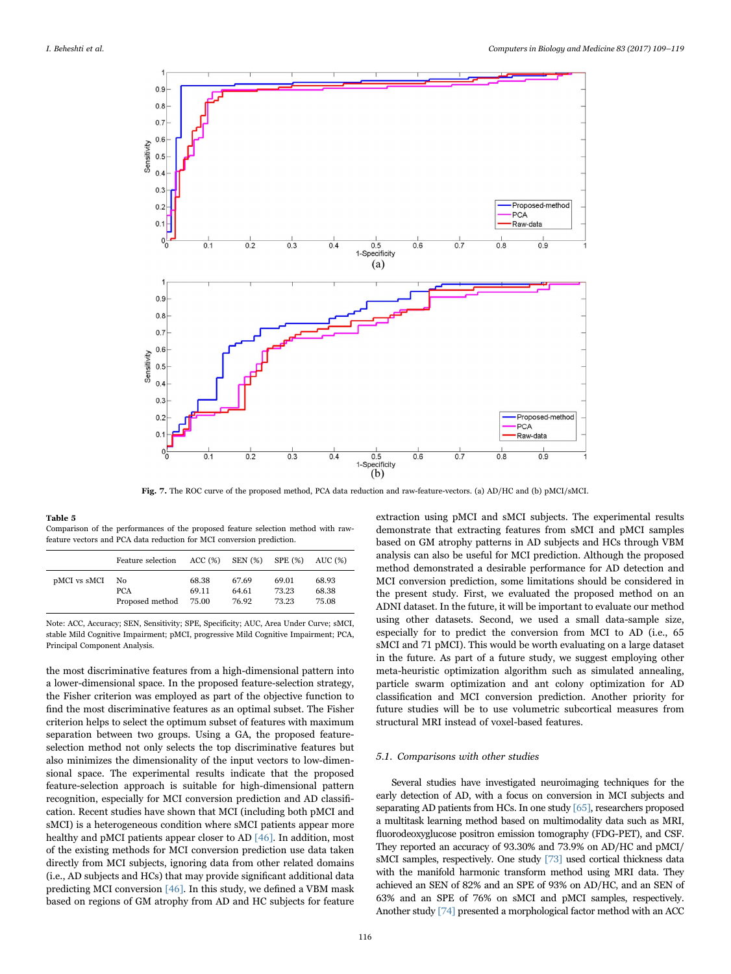<span id="page-7-1"></span>

Fig. 7. The ROC curve of the proposed method, PCA data reduction and raw-feature-vectors. (a) AD/HC and (b) pMCI/sMCI.

#### <span id="page-7-0"></span>Table 5

Comparison of the performances of the proposed feature selection method with rawfeature vectors and PCA data reduction for MCI conversion prediction.

|              | Feature selection |       | $ACC(%)$ SEN $(S)$ SPE $(S)$ |       | AUC (%) |
|--------------|-------------------|-------|------------------------------|-------|---------|
| pMCI vs sMCI | No                | 68.38 | 67.69                        | 69.01 | 68.93   |
|              | <b>PCA</b>        | 69.11 | 64.61                        | 73.23 | 68.38   |
|              | Proposed method   | 75.00 | 76.92                        | 73.23 | 75.08   |

Note: ACC, Accuracy; SEN, Sensitivity; SPE, Specificity; AUC, Area Under Curve; sMCI, stable Mild Cognitive Impairment; pMCI, progressive Mild Cognitive Impairment; PCA, Principal Component Analysis.

the most discriminative features from a high-dimensional pattern into a lower-dimensional space. In the proposed feature-selection strategy, the Fisher criterion was employed as part of the objective function to find the most discriminative features as an optimal subset. The Fisher criterion helps to select the optimum subset of features with maximum separation between two groups. Using a GA, the proposed featureselection method not only selects the top discriminative features but also minimizes the dimensionality of the input vectors to low-dimensional space. The experimental results indicate that the proposed feature-selection approach is suitable for high-dimensional pattern recognition, especially for MCI conversion prediction and AD classification. Recent studies have shown that MCI (including both pMCI and sMCI) is a heterogeneous condition where sMCI patients appear more healthy and pMCI patients appear closer to AD [\[46\]](#page-10-0). In addition, most of the existing methods for MCI conversion prediction use data taken directly from MCI subjects, ignoring data from other related domains (i.e., AD subjects and HCs) that may provide significant additional data predicting MCI conversion [\[46\]](#page-10-0). In this study, we defined a VBM mask based on regions of GM atrophy from AD and HC subjects for feature

extraction using pMCI and sMCI subjects. The experimental results demonstrate that extracting features from sMCI and pMCI samples based on GM atrophy patterns in AD subjects and HCs through VBM analysis can also be useful for MCI prediction. Although the proposed method demonstrated a desirable performance for AD detection and MCI conversion prediction, some limitations should be considered in the present study. First, we evaluated the proposed method on an ADNI dataset. In the future, it will be important to evaluate our method using other datasets. Second, we used a small data-sample size, especially for to predict the conversion from MCI to AD (i.e., 65 sMCI and 71 pMCI). This would be worth evaluating on a large dataset in the future. As part of a future study, we suggest employing other meta-heuristic optimization algorithm such as simulated annealing, particle swarm optimization and ant colony optimization for AD classification and MCI conversion prediction. Another priority for future studies will be to use volumetric subcortical measures from structural MRI instead of voxel-based features.

## 5.1. Comparisons with other studies

Several studies have investigated neuroimaging techniques for the early detection of AD, with a focus on conversion in MCI subjects and separating AD patients from HCs. In one study [\[65\]](#page-10-8), researchers proposed a multitask learning method based on multimodality data such as MRI, fluorodeoxyglucose positron emission tomography (FDG-PET), and CSF. They reported an accuracy of 93.30% and 73.9% on AD/HC and pMCI/ sMCI samples, respectively. One study [\[73\]](#page-10-9) used cortical thickness data with the manifold harmonic transform method using MRI data. They achieved an SEN of 82% and an SPE of 93% on AD/HC, and an SEN of 63% and an SPE of 76% on sMCI and pMCI samples, respectively. Another study [\[74\]](#page-10-10) presented a morphological factor method with an ACC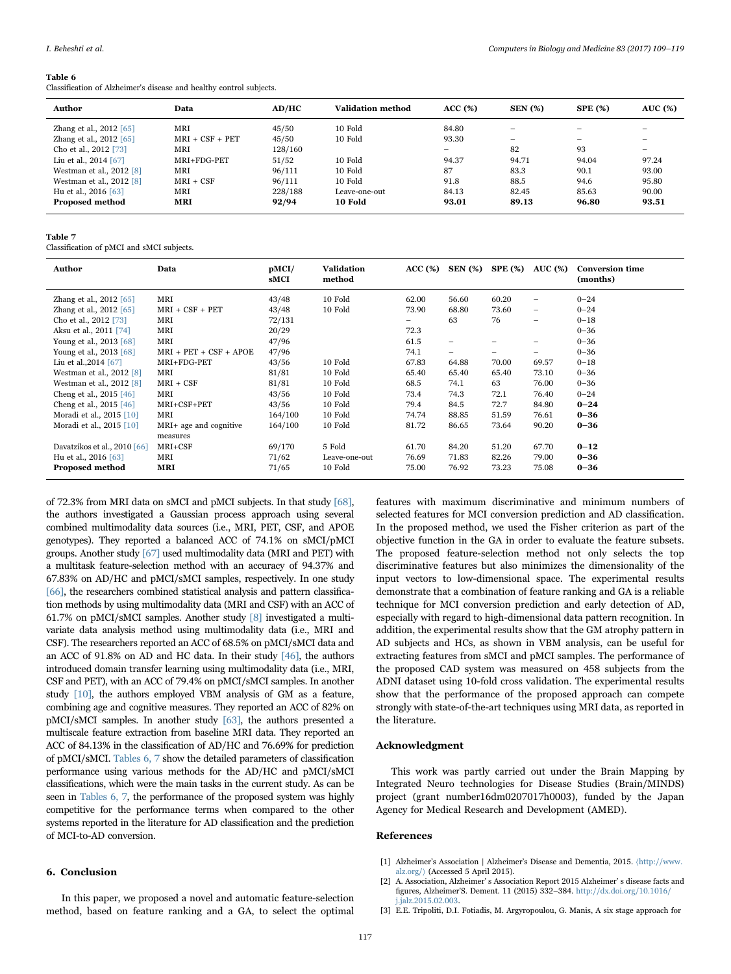#### I. Beheshti et al. *Computers in Biology and Medicine 83 (2017) 109–119*

#### <span id="page-8-2"></span>Table 6

Classification of Alzheimer's disease and healthy control subjects.

| Author                     | Data              | AD/HC   | Validation method | ACC(%) | <b>SEN</b> (%)           | <b>SPE</b> (%)           | <b>AUC</b> (%) |
|----------------------------|-------------------|---------|-------------------|--------|--------------------------|--------------------------|----------------|
| Zhang et al., 2012 [65]    | MRI               | 45/50   | 10 Fold           | 84.80  | $\overline{\phantom{m}}$ | -                        |                |
| Zhang et al., 2012 [65]    | $MRI + CSF + PET$ | 45/50   | 10 Fold           | 93.30  |                          | $\overline{\phantom{0}}$ |                |
| Cho et al., 2012 [73]      | MRI               | 128/160 |                   |        | 82                       | 93                       |                |
| Liu et al., $2014$ [67]    | MRI+FDG-PET       | 51/52   | 10 Fold           | 94.37  | 94.71                    | 94.04                    | 97.24          |
| Westman et al., $2012$ [8] | MRI               | 96/111  | 10 Fold           | 87     | 83.3                     | 90.1                     | 93.00          |
| Westman et al., 2012 [8]   | $MRI + CSF$       | 96/111  | 10 Fold           | 91.8   | 88.5                     | 94.6                     | 95.80          |
| Hu et al., 2016 [63]       | MRI               | 228/188 | Leave-one-out     | 84.13  | 82.45                    | 85.63                    | 90.00          |
| <b>Proposed method</b>     | MRI               | 92/94   | 10 Fold           | 93.01  | 89.13                    | 96.80                    | 93.51          |

#### Table 7

Classification of pMCI and sMCI subjects.

| Author                         | Data                     | pMCI/<br>sMCI | Validation<br>method | ACC(%) | <b>SEN</b> (%) | <b>SPE (%)</b> | <b>AUC</b> (%)           | <b>Conversion time</b><br>(months) |
|--------------------------------|--------------------------|---------------|----------------------|--------|----------------|----------------|--------------------------|------------------------------------|
| Zhang et al., 2012 [65]        | MRI                      | 43/48         | 10 Fold              | 62.00  | 56.60          | 60.20          | $\overline{\phantom{0}}$ | $0 - 24$                           |
| Zhang et al., 2012 [65]        | $MRI + CSF + PET$        | 43/48         | 10 Fold              | 73.90  | 68.80          | 73.60          | -                        | $0 - 24$                           |
| Cho et al., 2012 [73]          | MRI                      | 72/131        |                      | Ξ.     | 63             | 76             | $\overline{\phantom{0}}$ | $0 - 18$                           |
| Aksu et al., 2011 [74]         | MRI                      | 20/29         |                      | 72.3   |                |                |                          | $0 - 36$                           |
| Young et al., 2013 [68]        | MRI                      | 47/96         |                      | 61.5   | -              |                | -                        | $0 - 36$                           |
| Young et al., 2013 [68]        | $MRI + PET + CSF + APOE$ | 47/96         |                      | 74.1   | -              | -              | -                        | $0 - 36$                           |
| Liu et al., 2014 [67]          | MRI+FDG-PET              | 43/56         | 10 Fold              | 67.83  | 64.88          | 70.00          | 69.57                    | $0 - 18$                           |
| Westman et al., 2012 [8]       | MRI                      | 81/81         | 10 Fold              | 65.40  | 65.40          | 65.40          | 73.10                    | $0 - 36$                           |
| Westman et al., 2012 [8]       | $MRI + CSF$              | 81/81         | 10 Fold              | 68.5   | 74.1           | 63             | 76.00                    | $0 - 36$                           |
| Cheng et al., $2015$ [46]      | MRI                      | 43/56         | 10 Fold              | 73.4   | 74.3           | 72.1           | 76.40                    | $0 - 24$                           |
| Cheng et al., $2015$ [46]      | MRI+CSF+PET              | 43/56         | 10 Fold              | 79.4   | 84.5           | 72.7           | 84.80                    | $0 - 24$                           |
| Moradi et al., 2015 [10]       | MRI                      | 164/100       | 10 Fold              | 74.74  | 88.85          | 51.59          | 76.61                    | $0 - 36$                           |
| Moradi et al., 2015 [10]       | MRI+ age and cognitive   | 164/100       | 10 Fold              | 81.72  | 86.65          | 73.64          | 90.20                    | $0 - 36$                           |
|                                | measures                 |               |                      |        |                |                |                          |                                    |
| Davatzikos et al., $2010$ [66] | MRI+CSF                  | 69/170        | 5 Fold               | 61.70  | 84.20          | 51.20          | 67.70                    | $0 - 12$                           |
| Hu et al., 2016 [63]           | MRI                      | 71/62         | Leave-one-out        | 76.69  | 71.83          | 82.26          | 79.00                    | $0 - 36$                           |
| <b>Proposed method</b>         | <b>MRI</b>               | 71/65         | 10 Fold              | 75.00  | 76.92          | 73.23          | 75.08                    | $0 - 36$                           |

of 72.3% from MRI data on sMCI and pMCI subjects. In that study [\[68\],](#page-10-11) the authors investigated a Gaussian process approach using several combined multimodality data sources (i.e., MRI, PET, CSF, and APOE genotypes). They reported a balanced ACC of 74.1% on sMCI/pMCI groups. Another study [\[67\]](#page-10-12) used multimodality data (MRI and PET) with a multitask feature-selection method with an accuracy of 94.37% and 67.83% on AD/HC and pMCI/sMCI samples, respectively. In one study [\[66\],](#page-10-13) the researchers combined statistical analysis and pattern classification methods by using multimodality data (MRI and CSF) with an ACC of 61.7% on pMCI/sMCI samples. Another study [\[8\]](#page-9-15) investigated a multivariate data analysis method using multimodality data (i.e., MRI and CSF). The researchers reported an ACC of 68.5% on pMCI/sMCI data and an ACC of 91.8% on AD and HC data. In their study [\[46\],](#page-10-0) the authors introduced domain transfer learning using multimodality data (i.e., MRI, CSF and PET), with an ACC of 79.4% on pMCI/sMCI samples. In another study [\[10\],](#page-9-17) the authors employed VBM analysis of GM as a feature, combining age and cognitive measures. They reported an ACC of 82% on pMCI/sMCI samples. In another study [\[63\]](#page-10-14), the authors presented a multiscale feature extraction from baseline MRI data. They reported an ACC of 84.13% in the classification of AD/HC and 76.69% for prediction of pMCI/sMCI. [Tables 6, 7](#page-8-2) show the detailed parameters of classification performance using various methods for the AD/HC and pMCI/sMCI classifications, which were the main tasks in the current study. As can be seen in [Tables 6, 7,](#page-8-2) the performance of the proposed system was highly competitive for the performance terms when compared to the other systems reported in the literature for AD classification and the prediction of MCI-to-AD conversion.

## 6. Conclusion

In this paper, we proposed a novel and automatic feature-selection method, based on feature ranking and a GA, to select the optimal

features with maximum discriminative and minimum numbers of selected features for MCI conversion prediction and AD classification. In the proposed method, we used the Fisher criterion as part of the objective function in the GA in order to evaluate the feature subsets. The proposed feature-selection method not only selects the top discriminative features but also minimizes the dimensionality of the input vectors to low-dimensional space. The experimental results demonstrate that a combination of feature ranking and GA is a reliable technique for MCI conversion prediction and early detection of AD, especially with regard to high-dimensional data pattern recognition. In addition, the experimental results show that the GM atrophy pattern in AD subjects and HCs, as shown in VBM analysis, can be useful for extracting features from sMCI and pMCI samples. The performance of the proposed CAD system was measured on 458 subjects from the ADNI dataset using 10-fold cross validation. The experimental results show that the performance of the proposed approach can compete strongly with state-of-the-art techniques using MRI data, as reported in the literature.

## Acknowledgment

This work was partly carried out under the Brain Mapping by Integrated Neuro technologies for Disease Studies (Brain/MINDS) project (grant number16dm0207017h0003), funded by the Japan Agency for Medical Research and Development (AMED).

# References

- <span id="page-8-0"></span>[1] Alzheimer's Association | Alzheimer's Disease and Dementia, 2015. 〈[http://www.](http://www.alz.org/) [alz.org/](http://www.alz.org/)〉 (Accessed 5 April 2015).
- <span id="page-8-1"></span>[2] A. Association, Alzheimer' s Association Report 2015 Alzheimer' s disease facts and figures, Alzheimer'S. Dement. 11 (2015) 332–384. [http://dx.doi.org/10.1016/](http://dx.doi.org/10.1016/j.jalz.2015.02.003) [j.jalz.2015.02.003.](http://dx.doi.org/10.1016/j.jalz.2015.02.003)
- [3] E.E. Tripoliti, D.I. Fotiadis, M. Argyropoulou, G. Manis, A six stage approach for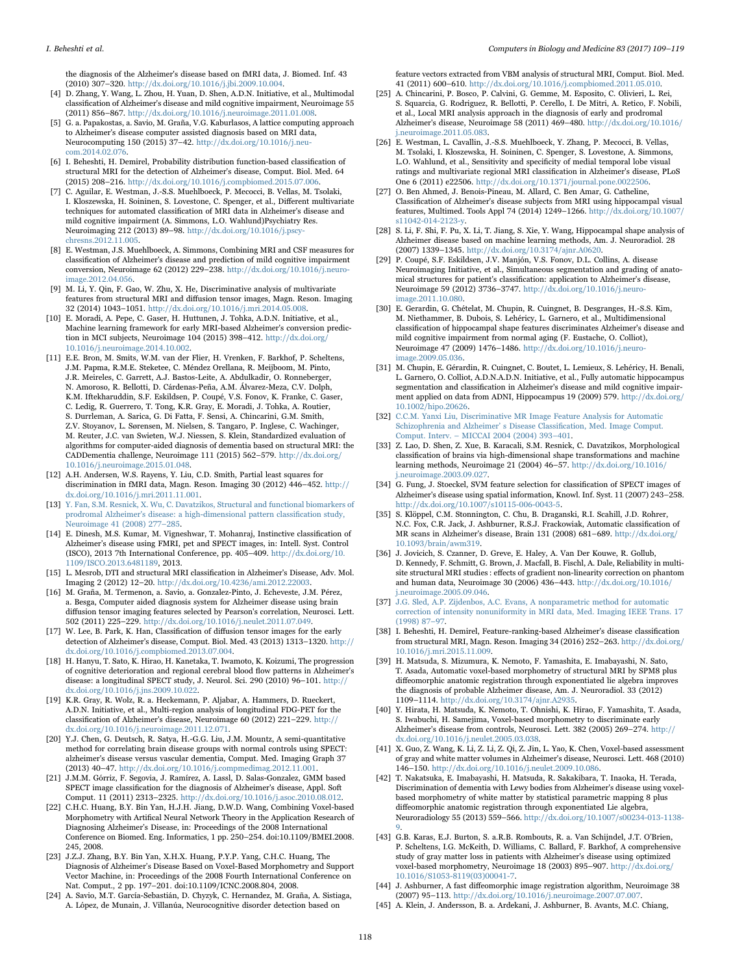the diagnosis of the Alzheimer's disease based on fMRI data, J. Biomed. Inf. 43 (2010) 307–320. [http://dx.doi.org/10.1016/j.jbi.2009.10.004.](http://dx.doi.org/10.1016/j.jbi.2009.10.004)

- <span id="page-9-0"></span>[4] D. Zhang, Y. Wang, L. Zhou, H. Yuan, D. Shen, A.D.N. Initiative, et al., Multimodal classification of Alzheimer's disease and mild cognitive impairment, Neuroimage 55 (2011) 856–867. [http://dx.doi.org/10.1016/j.neuroimage.2011.01.008.](http://dx.doi.org/10.1016/j.neuroimage.2011.01.008)
- [5] G. a. Papakostas, a. Savio, M. Graña, V.G. Kaburlasos, A lattice computing approach to Alzheimer's disease computer assisted diagnosis based on MRI data, Neurocomputing 150 (2015) 37–42. [http://dx.doi.org/10.1016/j.neu](http://dx.doi.org/10.1016/j.neucom.2014.02.076)[com.2014.02.076.](http://dx.doi.org/10.1016/j.neucom.2014.02.076)
- <span id="page-9-14"></span>[6] I. Beheshti, H. Demirel, Probability distribution function-based classification of structural MRI for the detection of Alzheimer's disease, Comput. Biol. Med. 64 (2015) 208–216. [http://dx.doi.org/10.1016/j.compbiomed.2015.07.006.](http://dx.doi.org/10.1016/j.compbiomed.2015.07.006)
- [7] C. Aguilar, E. Westman, J.-S.S. Muehlboeck, P. Mecocci, B. Vellas, M. Tsolaki, I. Kloszewska, H. Soininen, S. Lovestone, C. Spenger, et al., Different multivariate techniques for automated classification of MRI data in Alzheimer's disease and mild cognitive impairment (A. Simmons, L.O. Wahlund)Psychiatry Res. Neuroimaging 212 (2013) 89–98. [http://dx.doi.org/10.1016/j.pscy](http://dx.doi.org/10.1016/j.pscychresns.2012.11.005)[chresns.2012.11.005.](http://dx.doi.org/10.1016/j.pscychresns.2012.11.005)
- <span id="page-9-15"></span>[8] E. Westman, J.S. Muehlboeck, A. Simmons, Combining MRI and CSF measures for classification of Alzheimer's disease and prediction of mild cognitive impairment conversion, Neuroimage 62 (2012) 229–238. [http://dx.doi.org/10.1016/j.neuro](http://dx.doi.org/10.1016/j.neuroimage.2012.04.056)[image.2012.04.056.](http://dx.doi.org/10.1016/j.neuroimage.2012.04.056)
- [9] M. Li, Y. Qin, F. Gao, W. Zhu, X. He, Discriminative analysis of multivariate features from structural MRI and diffusion tensor images, Magn. Reson. Imaging 32 (2014) 1043–1051. [http://dx.doi.org/10.1016/j.mri.2014.05.008.](http://dx.doi.org/10.1016/j.mri.2014.05.008)
- <span id="page-9-17"></span>[10] E. Moradi, A. Pepe, C. Gaser, H. Huttunen, J. Tohka, A.D.N. Initiative, et al., Machine learning framework for early MRI-based Alzheimer's conversion prediction in MCI subjects, Neuroimage 104 (2015) 398–412. [http://dx.doi.org/](http://dx.doi.org/10.1016/j.neuroimage.2014.10.002) [10.1016/j.neuroimage.2014.10.002.](http://dx.doi.org/10.1016/j.neuroimage.2014.10.002)
- <span id="page-9-4"></span>[11] E.E. Bron, M. Smits, W.M. van der Flier, H. Vrenken, F. Barkhof, P. Scheltens, J.M. Papma, R.M.E. Steketee, C. Méndez Orellana, R. Meijboom, M. Pinto, J.R. Meireles, C. Garrett, A.J. Bastos-Leite, A. Abdulkadir, O. Ronneberger, N. Amoroso, R. Bellotti, D. Cárdenas-Peña, A.M. Álvarez-Meza, C.V. Dolph, K.M. Iftekharuddin, S.F. Eskildsen, P. Coupé, V.S. Fonov, K. Franke, C. Gaser, C. Ledig, R. Guerrero, T. Tong, K.R. Gray, E. Moradi, J. Tohka, A. Routier, S. Durrleman, A. Sarica, G. Di Fatta, F. Sensi, A. Chincarini, G.M. Smith, Z.V. Stoyanov, L. Sørensen, M. Nielsen, S. Tangaro, P. Inglese, C. Wachinger, M. Reuter, J.C. van Swieten, W.J. Niessen, S. Klein, Standardized evaluation of algorithms for computer-aided diagnosis of dementia based on structural MRI: the CADDementia challenge, Neuroimage 111 (2015) 562–579. [http://dx.doi.org/](http://dx.doi.org/10.1016/j.neuroimage.2015.01.048) [10.1016/j.neuroimage.2015.01.048.](http://dx.doi.org/10.1016/j.neuroimage.2015.01.048)
- <span id="page-9-1"></span>[12] A.H. Andersen, W.S. Rayens, Y. Liu, C.D. Smith, Partial least squares for discrimination in fMRI data, Magn. Reson. Imaging 30 (2012) 446–452. [http://](http://dx.doi.org/10.1016/j.mri.2011.11.001) [dx.doi.org/10.1016/j.mri.2011.11.001.](http://dx.doi.org/10.1016/j.mri.2011.11.001)
- <span id="page-9-16"></span>[13] [Y. Fan, S.M. Resnick, X. Wu, C. Davatzikos, Structural and functional biomarkers of](http://refhub.elsevier.com/S0010-4825(17)30048-3/sbref12) [prodromal Alzheimer's disease: a high-dimensional pattern classi](http://refhub.elsevier.com/S0010-4825(17)30048-3/sbref12)fication study, [Neuroimage 41 \(2008\) 277](http://refhub.elsevier.com/S0010-4825(17)30048-3/sbref12)–285.
- [14] E. Dinesh, M.S. Kumar, M. Vigneshwar, T. Mohanraj, Instinctive classification of Alzheimer's disease using FMRI, pet and SPECT images, in: Intell. Syst. Control (ISCO), 2013 7th International Conference, pp. 405–409. [http://dx.doi.org/10.](http://dx.doi.org/10.1109/ISCO.2013.6481189) [1109/ISCO.2013.6481189,](http://dx.doi.org/10.1109/ISCO.2013.6481189) 2013.
- <span id="page-9-2"></span>[15] L. Mesrob, DTI and structural MRI classification in Alzheimer's Disease, Adv. Mol. Imaging 2 (2012) 12–20. [http://dx.doi.org/10.4236/ami.2012.22003.](http://dx.doi.org/10.4236/ami.2012.22003)
- [16] M. Graña, M. Termenon, a. Savio, a. Gonzalez-Pinto, J. Echeveste, J.M. Pérez, a. Besga, Computer aided diagnosis system for Alzheimer disease using brain diffusion tensor imaging features selected by Pearson's correlation, Neurosci. Lett. 502 (2011) 225–229. [http://dx.doi.org/10.1016/j.neulet.2011.07.049.](http://dx.doi.org/10.1016/j.neulet.2011.07.049)
- [17] W. Lee, B. Park, K. Han, Classification of diffusion tensor images for the early detection of Alzheimer's disease, Comput. Biol. Med. 43 (2013) 1313–1320. [http://](http://dx.doi.org/10.1016/j.compbiomed.2013.07.004) [dx.doi.org/10.1016/j.compbiomed.2013.07.004.](http://dx.doi.org/10.1016/j.compbiomed.2013.07.004)
- <span id="page-9-3"></span>[18] H. Hanyu, T. Sato, K. Hirao, H. Kanetaka, T. Iwamoto, K. Koizumi, The progression of cognitive deterioration and regional cerebral blood flow patterns in Alzheimer's disease: a longitudinal SPECT study, J. Neurol. Sci. 290 (2010) 96–101. [http://](http://dx.doi.org/10.1016/j.jns.2009.10.022) [dx.doi.org/10.1016/j.jns.2009.10.022.](http://dx.doi.org/10.1016/j.jns.2009.10.022)
- [19] K.R. Gray, R. Wolz, R. a. Heckemann, P. Aljabar, A. Hammers, D. Rueckert, A.D.N. Initiative, et al., Multi-region analysis of longitudinal FDG-PET for the classification of Alzheimer's disease, Neuroimage 60 (2012) 221–229. [http://](http://dx.doi.org/10.1016/j.neuroimage.2011.12.071) [dx.doi.org/10.1016/j.neuroimage.2011.12.071.](http://dx.doi.org/10.1016/j.neuroimage.2011.12.071)
- [20] Y.J. Chen, G. Deutsch, R. Satya, H.-G.G. Liu, J.M. Mountz, A semi-quantitative method for correlating brain disease groups with normal controls using SPECT: alzheimer's disease versus vascular dementia, Comput. Med. Imaging Graph 37 (2013) 40–47. [http://dx.doi.org/10.1016/j.compmedimag.2012.11.001.](http://dx.doi.org/10.1016/j.compmedimag.2012.11.001)
- [21] J.M.M. Górriz, F. Segovia, J. Ramírez, A. Lassl, D. Salas-Gonzalez, GMM based SPECT image classification for the diagnosis of Alzheimer's disease, Appl. Soft Comput. 11 (2011) 2313–2325. [http://dx.doi.org/10.1016/j.asoc.2010.08.012.](http://dx.doi.org/10.1016/j.asoc.2010.08.012)
- <span id="page-9-5"></span>[22] C.H.C. Huang, B.Y. Bin Yan, H.J.H. Jiang, D.W.D. Wang, Combining Voxel-based Morphometry with Artifical Neural Network Theory in the Application Research of Diagnosing Alzheimer's Disease, in: Proceedings of the 2008 International Conference on Biomed. Eng. Informatics, 1 pp. 250–254. doi:10.1109/BMEI.2008. 245, 2008.
- [23] J.Z.J. Zhang, B.Y. Bin Yan, X.H.X. Huang, P.Y.P. Yang, C.H.C. Huang, The Diagnosis of Alzheimer's Disease Based on Voxel-Based Morphometry and Support Vector Machine, in: Proceedings of the 2008 Fourth International Conference on Nat. Comput., 2 pp. 197–201. doi:10.1109/ICNC.2008.804, 2008.
- [24] A. Savio, M.T. García-Sebastián, D. Chyzyk, C. Hernandez, M. Graña, A. Sistiaga, A. López, de Munain, J. Villanúa, Neurocognitive disorder detection based on

feature vectors extracted from VBM analysis of structural MRI, Comput. Biol. Med. 41 (2011) 600–610. [http://dx.doi.org/10.1016/j.compbiomed.2011.05.010.](http://dx.doi.org/10.1016/j.compbiomed.2011.05.010)

- <span id="page-9-6"></span>[25] A. Chincarini, P. Bosco, P. Calvini, G. Gemme, M. Esposito, C. Olivieri, L. Rei, S. Squarcia, G. Rodriguez, R. Bellotti, P. Cerello, I. De Mitri, A. Retico, F. Nobili, et al., Local MRI analysis approach in the diagnosis of early and prodromal Alzheimer's disease, Neuroimage 58 (2011) 469–480. [http://dx.doi.org/10.1016/](http://dx.doi.org/10.1016/j.neuroimage.2011.05.083) [j.neuroimage.2011.05.083.](http://dx.doi.org/10.1016/j.neuroimage.2011.05.083)
- [26] E. Westman, L. Cavallin, J.-S.S. Muehlboeck, Y. Zhang, P. Mecocci, B. Vellas, M. Tsolaki, I. Kłoszewska, H. Soininen, C. Spenger, S. Lovestone, A. Simmons, L.O. Wahlund, et al., Sensitivity and specificity of medial temporal lobe visual ratings and multivariate regional MRI classification in Alzheimer's disease, PLoS One 6 (2011) e22506. [http://dx.doi.org/10.1371/journal.pone.0022506.](http://dx.doi.org/10.1371/journal.pone.0022506)
- [27] O. Ben Ahmed, J. Benois-Pineau, M. Allard, C. Ben Amar, G. Catheline, Classification of Alzheimer's disease subjects from MRI using hippocampal visual features, Multimed. Tools Appl 74 (2014) 1249–1266. [http://dx.doi.org/10.1007/](http://dx.doi.org/10.1007/s11042-014-2123-y) [s11042-014-2123-y.](http://dx.doi.org/10.1007/s11042-014-2123-y)
- [28] S. Li, F. Shi, F. Pu, X. Li, T. Jiang, S. Xie, Y. Wang, Hippocampal shape analysis of Alzheimer disease based on machine learning methods, Am. J. Neuroradiol. 28 (2007) 1339–1345. [http://dx.doi.org/10.3174/ajnr.A0620.](http://dx.doi.org/10.3174/ajnr.A0620)
- [29] P. Coupé, S.F. Eskildsen, J.V. Manjón, V.S. Fonov, D.L. Collins, A. disease Neuroimaging Initiative, et al., Simultaneous segmentation and grading of anatomical structures for patient's classification: application to Alzheimer's disease, Neuroimage 59 (2012) 3736–3747. [http://dx.doi.org/10.1016/j.neuro](http://dx.doi.org/10.1016/j.neuroimage.2011.10.080)[image.2011.10.080.](http://dx.doi.org/10.1016/j.neuroimage.2011.10.080)
- [30] E. Gerardin, G. Chételat, M. Chupin, R. Cuingnet, B. Desgranges, H.-S.S. Kim, M. Niethammer, B. Dubois, S. Lehéricy, L. Garnero, et al., Multidimensional classification of hippocampal shape features discriminates Alzheimer's disease and mild cognitive impairment from normal aging (F. Eustache, O. Colliot), Neuroimage 47 (2009) 1476–1486. [http://dx.doi.org/10.1016/j.neuro](http://dx.doi.org/10.1016/j.neuroimage.2009.05.036)[image.2009.05.036.](http://dx.doi.org/10.1016/j.neuroimage.2009.05.036)
- [31] M. Chupin, E. Gérardin, R. Cuingnet, C. Boutet, L. Lemieux, S. Lehéricy, H. Benali, L. Garnero, O. Colliot, A.D.N.A.D.N. Initiative, et al., Fully automatic hippocampus segmentation and classification in Alzheimer's disease and mild cognitive impairment applied on data from ADNI, Hippocampus 19 (2009) 579. [http://dx.doi.org/](http://dx.doi.org/10.1002/hipo.20626) [10.1002/hipo.20626.](http://dx.doi.org/10.1002/hipo.20626)
- <span id="page-9-7"></span>[32] [C.C.M. Yanxi Liu, Discriminative MR Image Feature Analysis for Automatic](http://refhub.elsevier.com/S0010-4825(17)30048-3/sbref28) [Schizophrenia and Alzheimer](http://refhub.elsevier.com/S0010-4825(17)30048-3/sbref28)' s Disease Classification, Med. Image Comput. Comput. Interv. – [MICCAI 2004 \(2004\) 393](http://refhub.elsevier.com/S0010-4825(17)30048-3/sbref28)–401.
- [33] Z. Lao, D. Shen, Z. Xue, B. Karacali, S.M. Resnick, C. Davatzikos, Morphological classification of brains via high-dimensional shape transformations and machine learning methods, Neuroimage 21 (2004) 46–57. [http://dx.doi.org/10.1016/](http://dx.doi.org/10.1016/j.neuroimage.2003.09.027) [j.neuroimage.2003.09.027.](http://dx.doi.org/10.1016/j.neuroimage.2003.09.027)
- [34] G. Fung, J. Stoeckel, SVM feature selection for classification of SPECT images of Alzheimer's disease using spatial information, Knowl. Inf. Syst. 11 (2007) 243–258. [http://dx.doi.org/10.1007/s10115-006-0043-5.](http://dx.doi.org/10.1007/s10115-006-0043-5)
- <span id="page-9-8"></span>[35] S. Klöppel, C.M. Stonnington, C. Chu, B. Draganski, R.I. Scahill, J.D. Rohrer, N.C. Fox, C.R. Jack, J. Ashburner, R.S.J. Frackowiak, Automatic classification of MR scans in Alzheimer's disease, Brain 131 (2008) 681–689. [http://dx.doi.org/](http://dx.doi.org/10.1093/brain/awm319) [10.1093/brain/awm319.](http://dx.doi.org/10.1093/brain/awm319)
- <span id="page-9-9"></span>[36] J. Jovicich, S. Czanner, D. Greve, E. Haley, A. Van Der Kouwe, R. Gollub, D. Kennedy, F. Schmitt, G. Brown, J. Macfall, B. Fischl, A. Dale, Reliability in multisite structural MRI studies : effects of gradient non-linearity correction on phantom and human data, Neuroimage 30 (2006) 436–443. [http://dx.doi.org/10.1016/](http://dx.doi.org/10.1016/j.neuroimage.2005.09.046) [j.neuroimage.2005.09.046.](http://dx.doi.org/10.1016/j.neuroimage.2005.09.046)
- <span id="page-9-10"></span>[37] [J.G. Sled, A.P. Zijdenbos, A.C. Evans, A nonparametric method for automatic](http://refhub.elsevier.com/S0010-4825(17)30048-3/sbref33) [correction of intensity nonuniformity in MRI data, Med. Imaging IEEE Trans. 17](http://refhub.elsevier.com/S0010-4825(17)30048-3/sbref33) [\(1998\) 87](http://refhub.elsevier.com/S0010-4825(17)30048-3/sbref33)–97.
- <span id="page-9-11"></span>[38] I. Beheshti, H. Demirel, Feature-ranking-based Alzheimer's disease classification from structural MRI, Magn. Reson. Imaging 34 (2016) 252–263. [http://dx.doi.org/](http://dx.doi.org/10.1016/j.mri.2015.11.009) [10.1016/j.mri.2015.11.009.](http://dx.doi.org/10.1016/j.mri.2015.11.009)
- <span id="page-9-12"></span>[39] H. Matsuda, S. Mizumura, K. Nemoto, F. Yamashita, E. Imabayashi, N. Sato, T. Asada, Automatic voxel-based morphometry of structural MRI by SPM8 plus diffeomorphic anatomic registration through exponentiated lie algebra improves the diagnosis of probable Alzheimer disease, Am. J. Neuroradiol. 33 (2012) 1109–1114. [http://dx.doi.org/10.3174/ajnr.A2935.](http://dx.doi.org/10.3174/ajnr.A2935)
- [40] Y. Hirata, H. Matsuda, K. Nemoto, T. Ohnishi, K. Hirao, F. Yamashita, T. Asada, S. Iwabuchi, H. Samejima, Voxel-based morphometry to discriminate early Alzheimer's disease from controls, Neurosci. Lett. 382 (2005) 269–274. [http://](http://dx.doi.org/10.1016/j.neulet.2005.03.038) [dx.doi.org/10.1016/j.neulet.2005.03.038.](http://dx.doi.org/10.1016/j.neulet.2005.03.038)
- [41] X. Guo, Z. Wang, K. Li, Z. Li, Z. Qi, Z. Jin, L. Yao, K. Chen, Voxel-based assessment of gray and white matter volumes in Alzheimer's disease, Neurosci. Lett. 468 (2010) 146–150. [http://dx.doi.org/10.1016/j.neulet.2009.10.086.](http://dx.doi.org/10.1016/j.neulet.2009.10.086)
- [42] T. Nakatsuka, E. Imabayashi, H. Matsuda, R. Sakakibara, T. Inaoka, H. Terada, Discrimination of dementia with Lewy bodies from Alzheimer's disease using voxelbased morphometry of white matter by statistical parametric mapping 8 plus diffeomorphic anatomic registration through exponentiated Lie algebra, Neuroradiology 55 (2013) 559–566. [http://dx.doi.org/10.1007/s00234-013-1138-](http://dx.doi.org/10.1007/s00234-013-1138-9) [9.](http://dx.doi.org/10.1007/s00234-013-1138-9)
- [43] G.B. Karas, E.J. Burton, S. a.R.B. Rombouts, R. a. Van Schijndel, J.T. O'Brien, P. Scheltens, I.G. McKeith, D. Williams, C. Ballard, F. Barkhof, A comprehensive study of gray matter loss in patients with Alzheimer's disease using optimized voxel-based morphometry, Neuroimage 18 (2003) 895–907. [http://dx.doi.org/](http://dx.doi.org/10.1016/S1053-8119(03)00041-7) [10.1016/S1053-8119\(03\)00041-7.](http://dx.doi.org/10.1016/S1053-8119(03)00041-7)
- <span id="page-9-13"></span>[44] J. Ashburner, A fast diffeomorphic image registration algorithm, Neuroimage 38 (2007) 95–113. [http://dx.doi.org/10.1016/j.neuroimage.2007.07.007.](http://dx.doi.org/10.1016/j.neuroimage.2007.07.007)
- [45] A. Klein, J. Andersson, B. a. Ardekani, J. Ashburner, B. Avants, M.C. Chiang,